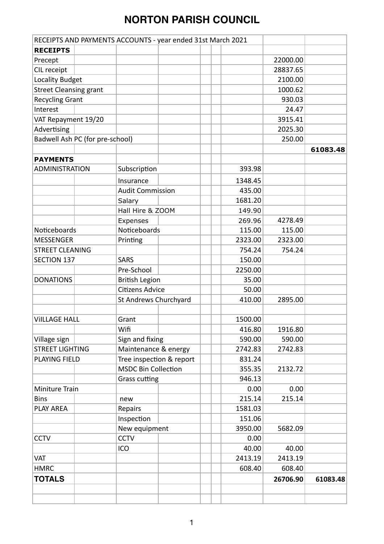|                                 | RECEIPTS AND PAYMENTS ACCOUNTS - year ended 31st March 2021 |         |          |          |
|---------------------------------|-------------------------------------------------------------|---------|----------|----------|
| <b>RECEIPTS</b>                 |                                                             |         |          |          |
| Precept                         |                                                             |         | 22000.00 |          |
| CIL receipt                     |                                                             |         | 28837.65 |          |
| <b>Locality Budget</b>          |                                                             |         | 2100.00  |          |
| <b>Street Cleansing grant</b>   |                                                             |         | 1000.62  |          |
| <b>Recycling Grant</b>          |                                                             |         | 930.03   |          |
| Interest                        |                                                             |         | 24.47    |          |
| VAT Repayment 19/20             |                                                             |         | 3915.41  |          |
| Advertising                     |                                                             |         | 2025.30  |          |
| Badwell Ash PC (for pre-school) |                                                             |         | 250.00   |          |
|                                 |                                                             |         |          | 61083.48 |
| <b>PAYMENTS</b>                 |                                                             |         |          |          |
| <b>ADMINISTRATION</b>           | Subscription                                                | 393.98  |          |          |
|                                 | Insurance                                                   | 1348.45 |          |          |
|                                 | <b>Audit Commission</b>                                     | 435.00  |          |          |
|                                 | Salary                                                      | 1681.20 |          |          |
|                                 | Hall Hire & ZOOM                                            | 149.90  |          |          |
|                                 | Expenses                                                    | 269.96  | 4278.49  |          |
| Noticeboards                    | Noticeboards                                                | 115.00  | 115.00   |          |
| <b>MESSENGER</b>                | Printing                                                    | 2323.00 | 2323.00  |          |
| <b>STREET CLEANING</b>          |                                                             | 754.24  | 754.24   |          |
| <b>SECTION 137</b>              | <b>SARS</b>                                                 | 150.00  |          |          |
|                                 | Pre-School                                                  | 2250.00 |          |          |
| <b>DONATIONS</b>                | <b>British Legion</b>                                       | 35.00   |          |          |
|                                 | <b>Citizens Advice</b>                                      | 50.00   |          |          |
|                                 | St Andrews Churchyard                                       | 410.00  | 2895.00  |          |
|                                 |                                                             |         |          |          |
| <b>VIILLAGE HALL</b>            | Grant                                                       | 1500.00 |          |          |
|                                 | Wifi                                                        | 416.80  | 1916.80  |          |
| Village sign                    | Sign and fixing                                             | 590.00  | 590.00   |          |
| <b>STREET LIGHTING</b>          | Maintenance & energy                                        | 2742.83 | 2742.83  |          |
| <b>PLAYING FIELD</b>            | Tree inspection & report                                    | 831.24  |          |          |
|                                 | <b>MSDC Bin Collection</b>                                  | 355.35  | 2132.72  |          |
|                                 | Grass cutting                                               | 946.13  |          |          |
| Miniture Train                  |                                                             | 0.00    | 0.00     |          |
| <b>Bins</b>                     | new                                                         | 215.14  | 215.14   |          |
| PLAY AREA                       | Repairs                                                     | 1581.03 |          |          |
|                                 | Inspection                                                  | 151.06  |          |          |
|                                 | New equipment                                               | 3950.00 | 5682.09  |          |
| <b>CCTV</b>                     | <b>CCTV</b>                                                 | 0.00    |          |          |
|                                 | ICO                                                         | 40.00   | 40.00    |          |
| <b>VAT</b>                      |                                                             | 2413.19 | 2413.19  |          |
| <b>HMRC</b>                     |                                                             | 608.40  | 608.40   |          |
| <b>TOTALS</b>                   |                                                             |         | 26706.90 | 61083.48 |
|                                 |                                                             |         |          |          |
|                                 |                                                             |         |          |          |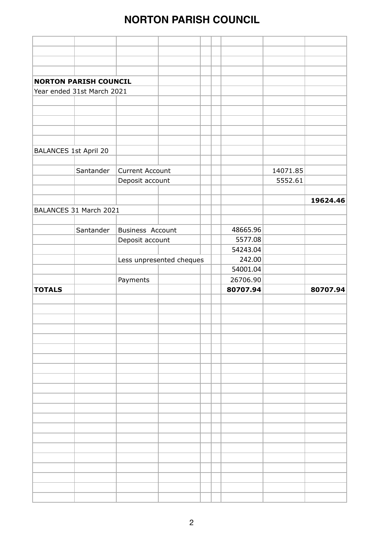|                              | <b>NORTON PARISH COUNCIL</b> |                          |  |  |          |          |          |
|------------------------------|------------------------------|--------------------------|--|--|----------|----------|----------|
|                              | Year ended 31st March 2021   |                          |  |  |          |          |          |
|                              |                              |                          |  |  |          |          |          |
|                              |                              |                          |  |  |          |          |          |
|                              |                              |                          |  |  |          |          |          |
|                              |                              |                          |  |  |          |          |          |
|                              |                              |                          |  |  |          |          |          |
| <b>BALANCES 1st April 20</b> |                              |                          |  |  |          |          |          |
|                              |                              |                          |  |  |          |          |          |
|                              | Santander                    | <b>Current Account</b>   |  |  |          | 14071.85 |          |
|                              |                              | Deposit account          |  |  |          | 5552.61  |          |
|                              |                              |                          |  |  |          |          |          |
|                              |                              |                          |  |  |          |          | 19624.46 |
|                              | BALANCES 31 March 2021       |                          |  |  |          |          |          |
|                              |                              |                          |  |  |          |          |          |
|                              | Santander                    | <b>Business Account</b>  |  |  | 48665.96 |          |          |
|                              |                              |                          |  |  | 5577.08  |          |          |
|                              |                              | Deposit account          |  |  | 54243.04 |          |          |
|                              |                              |                          |  |  | 242.00   |          |          |
|                              |                              | Less unpresented cheques |  |  | 54001.04 |          |          |
|                              |                              |                          |  |  |          |          |          |
|                              |                              | Payments                 |  |  | 26706.90 |          | 80707.94 |
| <b>TOTALS</b>                |                              |                          |  |  | 80707.94 |          |          |
|                              |                              |                          |  |  |          |          |          |
|                              |                              |                          |  |  |          |          |          |
|                              |                              |                          |  |  |          |          |          |
|                              |                              |                          |  |  |          |          |          |
|                              |                              |                          |  |  |          |          |          |
|                              |                              |                          |  |  |          |          |          |
|                              |                              |                          |  |  |          |          |          |
|                              |                              |                          |  |  |          |          |          |
|                              |                              |                          |  |  |          |          |          |
|                              |                              |                          |  |  |          |          |          |
|                              |                              |                          |  |  |          |          |          |
|                              |                              |                          |  |  |          |          |          |
|                              |                              |                          |  |  |          |          |          |
|                              |                              |                          |  |  |          |          |          |
|                              |                              |                          |  |  |          |          |          |
|                              |                              |                          |  |  |          |          |          |
|                              |                              |                          |  |  |          |          |          |
|                              |                              |                          |  |  |          |          |          |
|                              |                              |                          |  |  |          |          |          |
|                              |                              |                          |  |  |          |          |          |
|                              |                              |                          |  |  |          |          |          |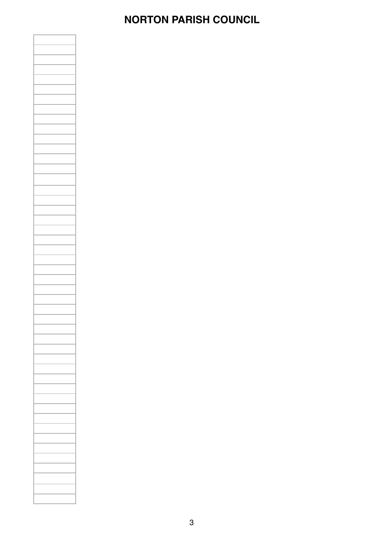